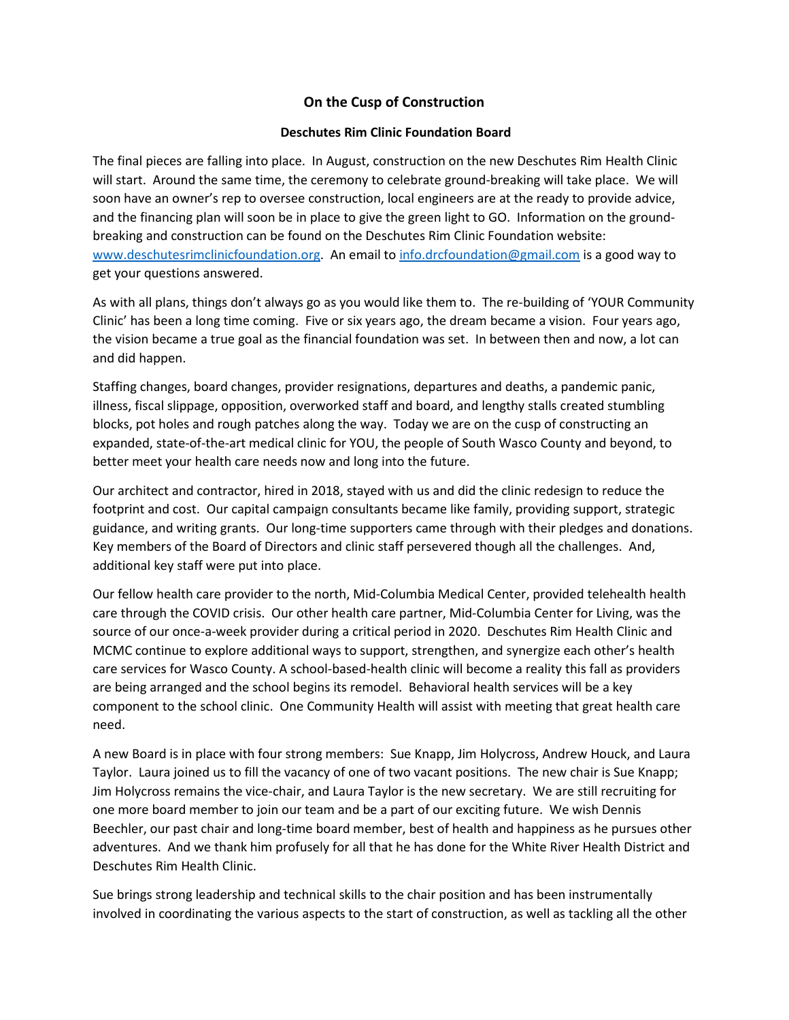## **On the Cusp of Construction**

## **Deschutes Rim Clinic Foundation Board**

The final pieces are falling into place. In August, construction on the new Deschutes Rim Health Clinic will start. Around the same time, the ceremony to celebrate ground-breaking will take place. We will soon have an owner's rep to oversee construction, local engineers are at the ready to provide advice, and the financing plan will soon be in place to give the green light to GO. Information on the groundbreaking and construction can be found on the Deschutes Rim Clinic Foundation website: [www.deschutesrimclinicfoundation.org.](http://www.deschutesrimclinicfoundation.org/) An email to [info.drcfoundation@gmail.com](mailto:info.drcfoundation@gmail.com) is a good way to get your questions answered.

As with all plans, things don't always go as you would like them to. The re-building of 'YOUR Community Clinic' has been a long time coming. Five or six years ago, the dream became a vision. Four years ago, the vision became a true goal as the financial foundation was set. In between then and now, a lot can and did happen.

Staffing changes, board changes, provider resignations, departures and deaths, a pandemic panic, illness, fiscal slippage, opposition, overworked staff and board, and lengthy stalls created stumbling blocks, pot holes and rough patches along the way. Today we are on the cusp of constructing an expanded, state-of-the-art medical clinic for YOU, the people of South Wasco County and beyond, to better meet your health care needs now and long into the future.

Our architect and contractor, hired in 2018, stayed with us and did the clinic redesign to reduce the footprint and cost. Our capital campaign consultants became like family, providing support, strategic guidance, and writing grants. Our long-time supporters came through with their pledges and donations. Key members of the Board of Directors and clinic staff persevered though all the challenges. And, additional key staff were put into place.

Our fellow health care provider to the north, Mid-Columbia Medical Center, provided telehealth health care through the COVID crisis. Our other health care partner, Mid-Columbia Center for Living, was the source of our once-a-week provider during a critical period in 2020. Deschutes Rim Health Clinic and MCMC continue to explore additional ways to support, strengthen, and synergize each other's health care services for Wasco County. A school-based-health clinic will become a reality this fall as providers are being arranged and the school begins its remodel. Behavioral health services will be a key component to the school clinic. One Community Health will assist with meeting that great health care need.

A new Board is in place with four strong members: Sue Knapp, Jim Holycross, Andrew Houck, and Laura Taylor. Laura joined us to fill the vacancy of one of two vacant positions. The new chair is Sue Knapp; Jim Holycross remains the vice-chair, and Laura Taylor is the new secretary. We are still recruiting for one more board member to join our team and be a part of our exciting future. We wish Dennis Beechler, our past chair and long-time board member, best of health and happiness as he pursues other adventures. And we thank him profusely for all that he has done for the White River Health District and Deschutes Rim Health Clinic.

Sue brings strong leadership and technical skills to the chair position and has been instrumentally involved in coordinating the various aspects to the start of construction, as well as tackling all the other